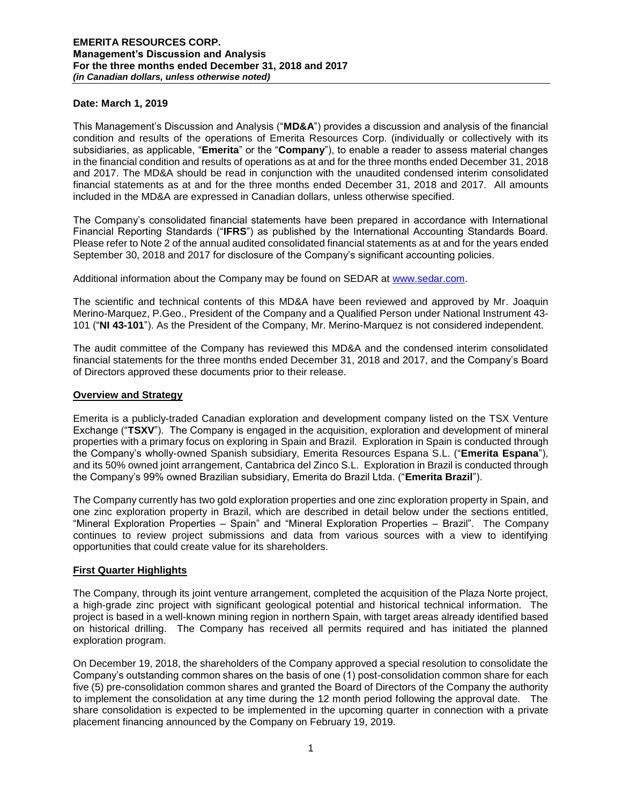## **Date: March 1, 2019**

This Management's Discussion and Analysis ("**MD&A**") provides a discussion and analysis of the financial condition and results of the operations of Emerita Resources Corp. (individually or collectively with its subsidiaries, as applicable, "**Emerita**" or the "**Company**"), to enable a reader to assess material changes in the financial condition and results of operations as at and for the three months ended December 31, 2018 and 2017. The MD&A should be read in conjunction with the unaudited condensed interim consolidated financial statements as at and for the three months ended December 31, 2018 and 2017. All amounts included in the MD&A are expressed in Canadian dollars, unless otherwise specified.

The Company's consolidated financial statements have been prepared in accordance with International Financial Reporting Standards ("**IFRS**") as published by the International Accounting Standards Board. Please refer to Note 2 of the annual audited consolidated financial statements as at and for the years ended September 30, 2018 and 2017 for disclosure of the Company's significant accounting policies.

Additional information about the Company may be found on SEDAR at [www.sedar.com.](http://www.sedar.com/)

The scientific and technical contents of this MD&A have been reviewed and approved by Mr. Joaquin Merino-Marquez, P.Geo., President of the Company and a Qualified Person under National Instrument 43- 101 ("**NI 43-101**"). As the President of the Company, Mr. Merino-Marquez is not considered independent.

The audit committee of the Company has reviewed this MD&A and the condensed interim consolidated financial statements for the three months ended December 31, 2018 and 2017, and the Company's Board of Directors approved these documents prior to their release.

#### **Overview and Strategy**

Emerita is a publicly-traded Canadian exploration and development company listed on the TSX Venture Exchange ("**TSXV**"). The Company is engaged in the acquisition, exploration and development of mineral properties with a primary focus on exploring in Spain and Brazil. Exploration in Spain is conducted through the Company's wholly-owned Spanish subsidiary, Emerita Resources Espana S.L. ("**Emerita Espana**"), and its 50% owned joint arrangement, Cantabrica del Zinco S.L. Exploration in Brazil is conducted through the Company's 99% owned Brazilian subsidiary, Emerita do Brazil Ltda. ("**Emerita Brazil**").

The Company currently has two gold exploration properties and one zinc exploration property in Spain, and one zinc exploration property in Brazil, which are described in detail below under the sections entitled, "Mineral Exploration Properties – Spain" and "Mineral Exploration Properties – Brazil". The Company continues to review project submissions and data from various sources with a view to identifying opportunities that could create value for its shareholders.

#### **First Quarter Highlights**

The Company, through its joint venture arrangement, completed the acquisition of the Plaza Norte project, a high-grade zinc project with significant geological potential and historical technical information. The project is based in a well-known mining region in northern Spain, with target areas already identified based on historical drilling. The Company has received all permits required and has initiated the planned exploration program.

On December 19, 2018, the shareholders of the Company approved a special resolution to consolidate the Company's outstanding common shares on the basis of one (1) post-consolidation common share for each five (5) pre-consolidation common shares and granted the Board of Directors of the Company the authority to implement the consolidation at any time during the 12 month period following the approval date. The share consolidation is expected to be implemented in the upcoming quarter in connection with a private placement financing announced by the Company on February 19, 2019.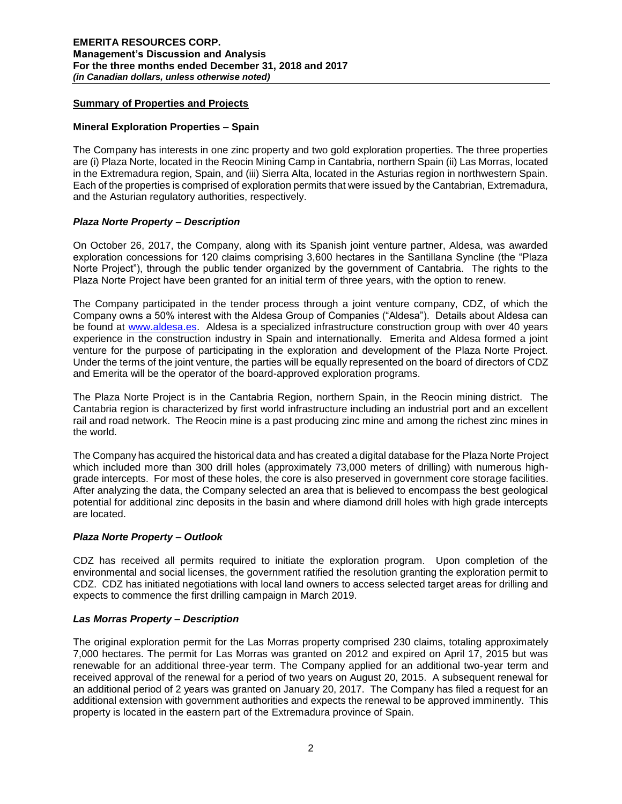# **Summary of Properties and Projects**

## **Mineral Exploration Properties – Spain**

The Company has interests in one zinc property and two gold exploration properties. The three properties are (i) Plaza Norte, located in the Reocin Mining Camp in Cantabria, northern Spain (ii) Las Morras, located in the Extremadura region, Spain, and (iii) Sierra Alta, located in the Asturias region in northwestern Spain. Each of the properties is comprised of exploration permits that were issued by the Cantabrian, Extremadura, and the Asturian regulatory authorities, respectively.

## *Plaza Norte Property – Description*

On October 26, 2017, the Company, along with its Spanish joint venture partner, Aldesa, was awarded exploration concessions for 120 claims comprising 3,600 hectares in the Santillana Syncline (the "Plaza Norte Project"), through the public tender organized by the government of Cantabria. The rights to the Plaza Norte Project have been granted for an initial term of three years, with the option to renew.

The Company participated in the tender process through a joint venture company, CDZ, of which the Company owns a 50% interest with the Aldesa Group of Companies ("Aldesa"). Details about Aldesa can be found at [www.aldesa.es.](http://www.aldesa.es/) Aldesa is a specialized infrastructure construction group with over 40 years experience in the construction industry in Spain and internationally. Emerita and Aldesa formed a joint venture for the purpose of participating in the exploration and development of the Plaza Norte Project. Under the terms of the joint venture, the parties will be equally represented on the board of directors of CDZ and Emerita will be the operator of the board-approved exploration programs.

The Plaza Norte Project is in the Cantabria Region, northern Spain, in the Reocin mining district. The Cantabria region is characterized by first world infrastructure including an industrial port and an excellent rail and road network. The Reocin mine is a past producing zinc mine and among the richest zinc mines in the world.

The Company has acquired the historical data and has created a digital database for the Plaza Norte Project which included more than 300 drill holes (approximately 73,000 meters of drilling) with numerous highgrade intercepts. For most of these holes, the core is also preserved in government core storage facilities. After analyzing the data, the Company selected an area that is believed to encompass the best geological potential for additional zinc deposits in the basin and where diamond drill holes with high grade intercepts are located.

## *Plaza Norte Property – Outlook*

CDZ has received all permits required to initiate the exploration program. Upon completion of the environmental and social licenses, the government ratified the resolution granting the exploration permit to CDZ. CDZ has initiated negotiations with local land owners to access selected target areas for drilling and expects to commence the first drilling campaign in March 2019.

## *Las Morras Property – Description*

The original exploration permit for the Las Morras property comprised 230 claims, totaling approximately 7,000 hectares. The permit for Las Morras was granted on 2012 and expired on April 17, 2015 but was renewable for an additional three-year term. The Company applied for an additional two-year term and received approval of the renewal for a period of two years on August 20, 2015. A subsequent renewal for an additional period of 2 years was granted on January 20, 2017. The Company has filed a request for an additional extension with government authorities and expects the renewal to be approved imminently. This property is located in the eastern part of the Extremadura province of Spain.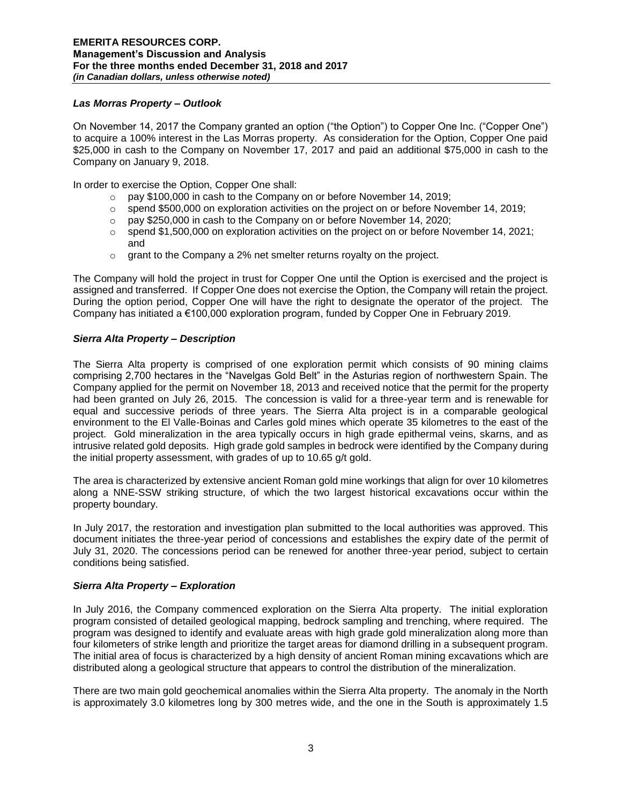# *Las Morras Property – Outlook*

On November 14, 2017 the Company granted an option ("the Option") to Copper One Inc. ("Copper One") to acquire a 100% interest in the Las Morras property. As consideration for the Option, Copper One paid \$25,000 in cash to the Company on November 17, 2017 and paid an additional \$75,000 in cash to the Company on January 9, 2018.

In order to exercise the Option, Copper One shall:

- o pay \$100,000 in cash to the Company on or before November 14, 2019;
- $\circ$  spend \$500,000 on exploration activities on the project on or before November 14, 2019;
- o pay \$250,000 in cash to the Company on or before November 14, 2020;
- $\circ$  spend \$1,500,000 on exploration activities on the project on or before November 14, 2021; and
- $\circ$  grant to the Company a 2% net smelter returns royalty on the project.

The Company will hold the project in trust for Copper One until the Option is exercised and the project is assigned and transferred. If Copper One does not exercise the Option, the Company will retain the project. During the option period, Copper One will have the right to designate the operator of the project. The Company has initiated a €100,000 exploration program, funded by Copper One in February 2019.

# *Sierra Alta Property – Description*

The Sierra Alta property is comprised of one exploration permit which consists of 90 mining claims comprising 2,700 hectares in the "Navelgas Gold Belt" in the Asturias region of northwestern Spain. The Company applied for the permit on November 18, 2013 and received notice that the permit for the property had been granted on July 26, 2015. The concession is valid for a three-year term and is renewable for equal and successive periods of three years. The Sierra Alta project is in a comparable geological environment to the El Valle-Boinas and Carles gold mines which operate 35 kilometres to the east of the project. Gold mineralization in the area typically occurs in high grade epithermal veins, skarns, and as intrusive related gold deposits. High grade gold samples in bedrock were identified by the Company during the initial property assessment, with grades of up to 10.65 g/t gold.

The area is characterized by extensive ancient Roman gold mine workings that align for over 10 kilometres along a NNE-SSW striking structure, of which the two largest historical excavations occur within the property boundary.

In July 2017, the restoration and investigation plan submitted to the local authorities was approved. This document initiates the three-year period of concessions and establishes the expiry date of the permit of July 31, 2020. The concessions period can be renewed for another three-year period, subject to certain conditions being satisfied.

# *Sierra Alta Property – Exploration*

In July 2016, the Company commenced exploration on the Sierra Alta property. The initial exploration program consisted of detailed geological mapping, bedrock sampling and trenching, where required. The program was designed to identify and evaluate areas with high grade gold mineralization along more than four kilometers of strike length and prioritize the target areas for diamond drilling in a subsequent program. The initial area of focus is characterized by a high density of ancient Roman mining excavations which are distributed along a geological structure that appears to control the distribution of the mineralization.

There are two main gold geochemical anomalies within the Sierra Alta property. The anomaly in the North is approximately 3.0 kilometres long by 300 metres wide, and the one in the South is approximately 1.5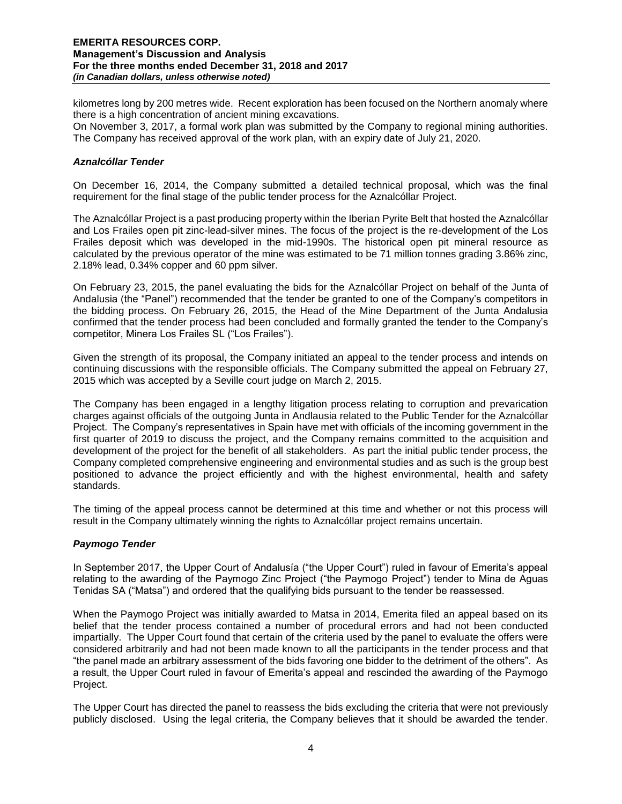kilometres long by 200 metres wide. Recent exploration has been focused on the Northern anomaly where there is a high concentration of ancient mining excavations.

On November 3, 2017, a formal work plan was submitted by the Company to regional mining authorities. The Company has received approval of the work plan, with an expiry date of July 21, 2020.

# *Aznalcóllar Tender*

On December 16, 2014, the Company submitted a detailed technical proposal, which was the final requirement for the final stage of the public tender process for the Aznalcóllar Project.

The Aznalcóllar Project is a past producing property within the Iberian Pyrite Belt that hosted the Aznalcóllar and Los Frailes open pit zinc-lead-silver mines. The focus of the project is the re-development of the Los Frailes deposit which was developed in the mid-1990s. The historical open pit mineral resource as calculated by the previous operator of the mine was estimated to be 71 million tonnes grading 3.86% zinc, 2.18% lead, 0.34% copper and 60 ppm silver.

On February 23, 2015, the panel evaluating the bids for the Aznalcóllar Project on behalf of the Junta of Andalusia (the "Panel") recommended that the tender be granted to one of the Company's competitors in the bidding process. On February 26, 2015, the Head of the Mine Department of the Junta Andalusia confirmed that the tender process had been concluded and formally granted the tender to the Company's competitor, Minera Los Frailes SL ("Los Frailes").

Given the strength of its proposal, the Company initiated an appeal to the tender process and intends on continuing discussions with the responsible officials. The Company submitted the appeal on February 27, 2015 which was accepted by a Seville court judge on March 2, 2015.

The Company has been engaged in a lengthy litigation process relating to corruption and prevarication charges against officials of the outgoing Junta in Andlausia related to the Public Tender for the Aznalcóllar Project. The Company's representatives in Spain have met with officials of the incoming government in the first quarter of 2019 to discuss the project, and the Company remains committed to the acquisition and development of the project for the benefit of all stakeholders. As part the initial public tender process, the Company completed comprehensive engineering and environmental studies and as such is the group best positioned to advance the project efficiently and with the highest environmental, health and safety standards.

The timing of the appeal process cannot be determined at this time and whether or not this process will result in the Company ultimately winning the rights to Aznalcóllar project remains uncertain.

## *Paymogo Tender*

In September 2017, the Upper Court of Andalusía ("the Upper Court") ruled in favour of Emerita's appeal relating to the awarding of the Paymogo Zinc Project ("the Paymogo Project") tender to Mina de Aguas Tenidas SA ("Matsa") and ordered that the qualifying bids pursuant to the tender be reassessed.

When the Paymogo Project was initially awarded to Matsa in 2014, Emerita filed an appeal based on its belief that the tender process contained a number of procedural errors and had not been conducted impartially. The Upper Court found that certain of the criteria used by the panel to evaluate the offers were considered arbitrarily and had not been made known to all the participants in the tender process and that "the panel made an arbitrary assessment of the bids favoring one bidder to the detriment of the others". As a result, the Upper Court ruled in favour of Emerita's appeal and rescinded the awarding of the Paymogo Project.

The Upper Court has directed the panel to reassess the bids excluding the criteria that were not previously publicly disclosed. Using the legal criteria, the Company believes that it should be awarded the tender.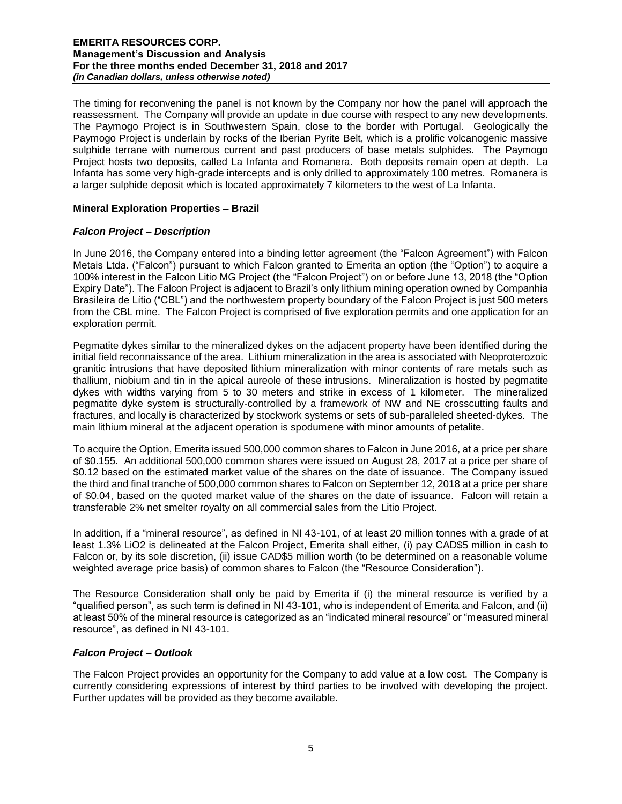The timing for reconvening the panel is not known by the Company nor how the panel will approach the reassessment. The Company will provide an update in due course with respect to any new developments. The Paymogo Project is in Southwestern Spain, close to the border with Portugal. Geologically the Paymogo Project is underlain by rocks of the Iberian Pyrite Belt, which is a prolific volcanogenic massive sulphide terrane with numerous current and past producers of base metals sulphides. The Paymogo Project hosts two deposits, called La Infanta and Romanera. Both deposits remain open at depth. La Infanta has some very high-grade intercepts and is only drilled to approximately 100 metres. Romanera is a larger sulphide deposit which is located approximately 7 kilometers to the west of La Infanta.

## **Mineral Exploration Properties – Brazil**

# *Falcon Project – Description*

In June 2016, the Company entered into a binding letter agreement (the "Falcon Agreement") with Falcon Metais Ltda. ("Falcon") pursuant to which Falcon granted to Emerita an option (the "Option") to acquire a 100% interest in the Falcon Litio MG Project (the "Falcon Project") on or before June 13, 2018 (the "Option Expiry Date"). The Falcon Project is adjacent to Brazil's only lithium mining operation owned by Companhia Brasileira de Lítio ("CBL") and the northwestern property boundary of the Falcon Project is just 500 meters from the CBL mine. The Falcon Project is comprised of five exploration permits and one application for an exploration permit.

Pegmatite dykes similar to the mineralized dykes on the adjacent property have been identified during the initial field reconnaissance of the area. Lithium mineralization in the area is associated with Neoproterozoic granitic intrusions that have deposited lithium mineralization with minor contents of rare metals such as thallium, niobium and tin in the apical aureole of these intrusions. Mineralization is hosted by pegmatite dykes with widths varying from 5 to 30 meters and strike in excess of 1 kilometer. The mineralized pegmatite dyke system is structurally-controlled by a framework of NW and NE crosscutting faults and fractures, and locally is characterized by stockwork systems or sets of sub-paralleled sheeted-dykes. The main lithium mineral at the adjacent operation is spodumene with minor amounts of petalite.

To acquire the Option, Emerita issued 500,000 common shares to Falcon in June 2016, at a price per share of \$0.155. An additional 500,000 common shares were issued on August 28, 2017 at a price per share of \$0.12 based on the estimated market value of the shares on the date of issuance. The Company issued the third and final tranche of 500,000 common shares to Falcon on September 12, 2018 at a price per share of \$0.04, based on the quoted market value of the shares on the date of issuance. Falcon will retain a transferable 2% net smelter royalty on all commercial sales from the Litio Project.

In addition, if a "mineral resource", as defined in NI 43-101, of at least 20 million tonnes with a grade of at least 1.3% LiO2 is delineated at the Falcon Project, Emerita shall either, (i) pay CAD\$5 million in cash to Falcon or, by its sole discretion, (ii) issue CAD\$5 million worth (to be determined on a reasonable volume weighted average price basis) of common shares to Falcon (the "Resource Consideration").

The Resource Consideration shall only be paid by Emerita if (i) the mineral resource is verified by a "qualified person", as such term is defined in NI 43-101, who is independent of Emerita and Falcon, and (ii) at least 50% of the mineral resource is categorized as an "indicated mineral resource" or "measured mineral resource", as defined in NI 43-101.

# *Falcon Project – Outlook*

The Falcon Project provides an opportunity for the Company to add value at a low cost. The Company is currently considering expressions of interest by third parties to be involved with developing the project. Further updates will be provided as they become available.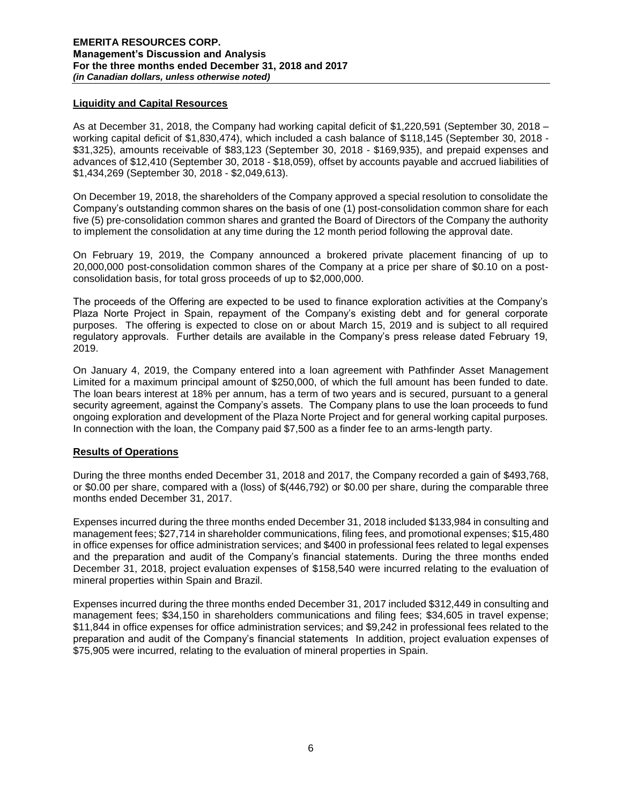## **Liquidity and Capital Resources**

As at December 31, 2018, the Company had working capital deficit of \$1,220,591 (September 30, 2018 – working capital deficit of \$1,830,474), which included a cash balance of \$118,145 (September 30, 2018 - \$31,325), amounts receivable of \$83,123 (September 30, 2018 - \$169,935), and prepaid expenses and advances of \$12,410 (September 30, 2018 - \$18,059), offset by accounts payable and accrued liabilities of \$1,434,269 (September 30, 2018 - \$2,049,613).

On December 19, 2018, the shareholders of the Company approved a special resolution to consolidate the Company's outstanding common shares on the basis of one (1) post-consolidation common share for each five (5) pre-consolidation common shares and granted the Board of Directors of the Company the authority to implement the consolidation at any time during the 12 month period following the approval date.

On February 19, 2019, the Company announced a brokered private placement financing of up to 20,000,000 post-consolidation common shares of the Company at a price per share of \$0.10 on a postconsolidation basis, for total gross proceeds of up to \$2,000,000.

The proceeds of the Offering are expected to be used to finance exploration activities at the Company's Plaza Norte Project in Spain, repayment of the Company's existing debt and for general corporate purposes. The offering is expected to close on or about March 15, 2019 and is subject to all required regulatory approvals. Further details are available in the Company's press release dated February 19, 2019.

On January 4, 2019, the Company entered into a loan agreement with Pathfinder Asset Management Limited for a maximum principal amount of \$250,000, of which the full amount has been funded to date. The loan bears interest at 18% per annum, has a term of two years and is secured, pursuant to a general security agreement, against the Company's assets. The Company plans to use the loan proceeds to fund ongoing exploration and development of the Plaza Norte Project and for general working capital purposes. In connection with the loan, the Company paid \$7,500 as a finder fee to an arms-length party.

# **Results of Operations**

During the three months ended December 31, 2018 and 2017, the Company recorded a gain of \$493,768, or \$0.00 per share, compared with a (loss) of \$(446,792) or \$0.00 per share, during the comparable three months ended December 31, 2017.

Expenses incurred during the three months ended December 31, 2018 included \$133,984 in consulting and management fees; \$27,714 in shareholder communications, filing fees, and promotional expenses; \$15,480 in office expenses for office administration services; and \$400 in professional fees related to legal expenses and the preparation and audit of the Company's financial statements. During the three months ended December 31, 2018, project evaluation expenses of \$158,540 were incurred relating to the evaluation of mineral properties within Spain and Brazil.

Expenses incurred during the three months ended December 31, 2017 included \$312,449 in consulting and management fees; \$34,150 in shareholders communications and filing fees; \$34,605 in travel expense; \$11,844 in office expenses for office administration services; and \$9,242 in professional fees related to the preparation and audit of the Company's financial statements In addition, project evaluation expenses of \$75,905 were incurred, relating to the evaluation of mineral properties in Spain.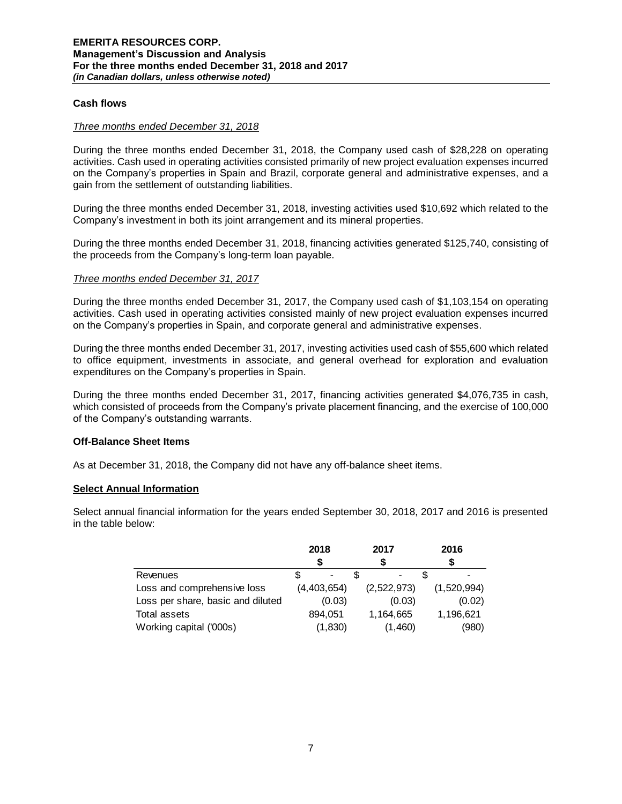## **Cash flows**

#### *Three months ended December 31, 2018*

During the three months ended December 31, 2018, the Company used cash of \$28,228 on operating activities. Cash used in operating activities consisted primarily of new project evaluation expenses incurred on the Company's properties in Spain and Brazil, corporate general and administrative expenses, and a gain from the settlement of outstanding liabilities.

During the three months ended December 31, 2018, investing activities used \$10,692 which related to the Company's investment in both its joint arrangement and its mineral properties.

During the three months ended December 31, 2018, financing activities generated \$125,740, consisting of the proceeds from the Company's long-term loan payable.

#### *Three months ended December 31, 2017*

During the three months ended December 31, 2017, the Company used cash of \$1,103,154 on operating activities. Cash used in operating activities consisted mainly of new project evaluation expenses incurred on the Company's properties in Spain, and corporate general and administrative expenses.

During the three months ended December 31, 2017, investing activities used cash of \$55,600 which related to office equipment, investments in associate, and general overhead for exploration and evaluation expenditures on the Company's properties in Spain.

During the three months ended December 31, 2017, financing activities generated \$4,076,735 in cash, which consisted of proceeds from the Company's private placement financing, and the exercise of 100,000 of the Company's outstanding warrants.

## **Off-Balance Sheet Items**

As at December 31, 2018, the Company did not have any off-balance sheet items.

## **Select Annual Information**

Select annual financial information for the years ended September 30, 2018, 2017 and 2016 is presented in the table below:

|                                   | 2018 |             | 2017        |         | 2016 |             |
|-----------------------------------|------|-------------|-------------|---------|------|-------------|
|                                   |      |             |             |         |      |             |
| Revenues                          |      |             |             |         |      |             |
| Loss and comprehensive loss       |      | (4,403,654) | (2,522,973) |         |      | (1,520,994) |
| Loss per share, basic and diluted |      | (0.03)      |             | (0.03)  |      | (0.02)      |
| Total assets                      |      | 894.051     | 1,164,665   |         |      | 1,196,621   |
| Working capital ('000s)           |      | (1,830)     |             | (1,460) |      | (980)       |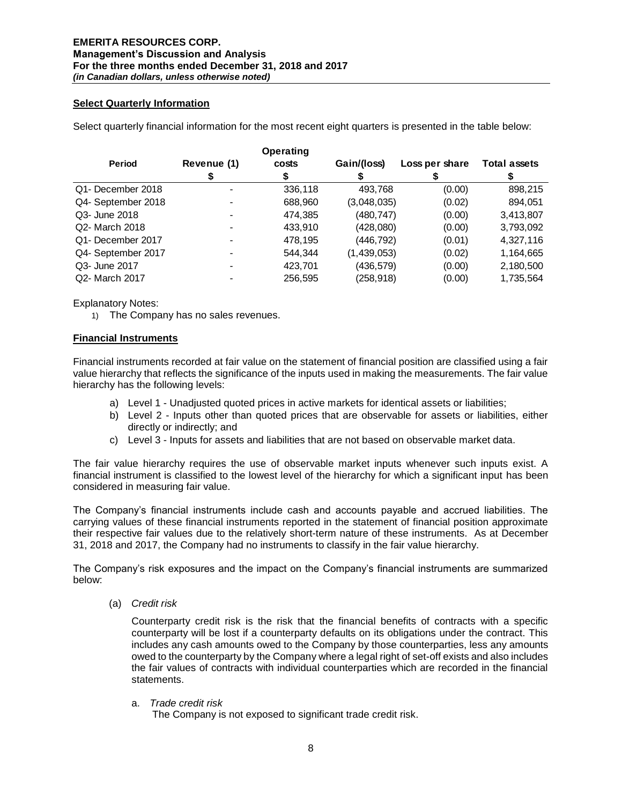## **Select Quarterly Information**

Select quarterly financial information for the most recent eight quarters is presented in the table below:

|                    |             | Operating |             |                |                     |
|--------------------|-------------|-----------|-------------|----------------|---------------------|
| <b>Period</b>      | Revenue (1) | costs     | Gain/(loss) | Loss per share | <b>Total assets</b> |
|                    |             |           |             |                |                     |
| Q1- December 2018  |             | 336,118   | 493,768     | (0.00)         | 898,215             |
| Q4- September 2018 |             | 688,960   | (3,048,035) | (0.02)         | 894,051             |
| Q3- June 2018      |             | 474,385   | (480, 747)  | (0.00)         | 3,413,807           |
| Q2- March 2018     |             | 433.910   | (428,080)   | (0.00)         | 3,793,092           |
| Q1- December 2017  |             | 478,195   | (446, 792)  | (0.01)         | 4,327,116           |
| Q4- September 2017 |             | 544.344   | (1,439,053) | (0.02)         | 1,164,665           |
| Q3- June 2017      |             | 423,701   | (436, 579)  | (0.00)         | 2,180,500           |
| Q2- March 2017     |             | 256,595   | (258,918)   | (0.00)         | 1,735,564           |

Explanatory Notes:

1) The Company has no sales revenues.

## **Financial Instruments**

Financial instruments recorded at fair value on the statement of financial position are classified using a fair value hierarchy that reflects the significance of the inputs used in making the measurements. The fair value hierarchy has the following levels:

- a) Level 1 Unadjusted quoted prices in active markets for identical assets or liabilities;
- b) Level 2 Inputs other than quoted prices that are observable for assets or liabilities, either directly or indirectly; and
- c) Level 3 Inputs for assets and liabilities that are not based on observable market data.

The fair value hierarchy requires the use of observable market inputs whenever such inputs exist. A financial instrument is classified to the lowest level of the hierarchy for which a significant input has been considered in measuring fair value.

The Company's financial instruments include cash and accounts payable and accrued liabilities. The carrying values of these financial instruments reported in the statement of financial position approximate their respective fair values due to the relatively short-term nature of these instruments. As at December 31, 2018 and 2017, the Company had no instruments to classify in the fair value hierarchy.

The Company's risk exposures and the impact on the Company's financial instruments are summarized below:

(a) *Credit risk* 

Counterparty credit risk is the risk that the financial benefits of contracts with a specific counterparty will be lost if a counterparty defaults on its obligations under the contract. This includes any cash amounts owed to the Company by those counterparties, less any amounts owed to the counterparty by the Company where a legal right of set-off exists and also includes the fair values of contracts with individual counterparties which are recorded in the financial statements.

a. *Trade credit risk*

The Company is not exposed to significant trade credit risk.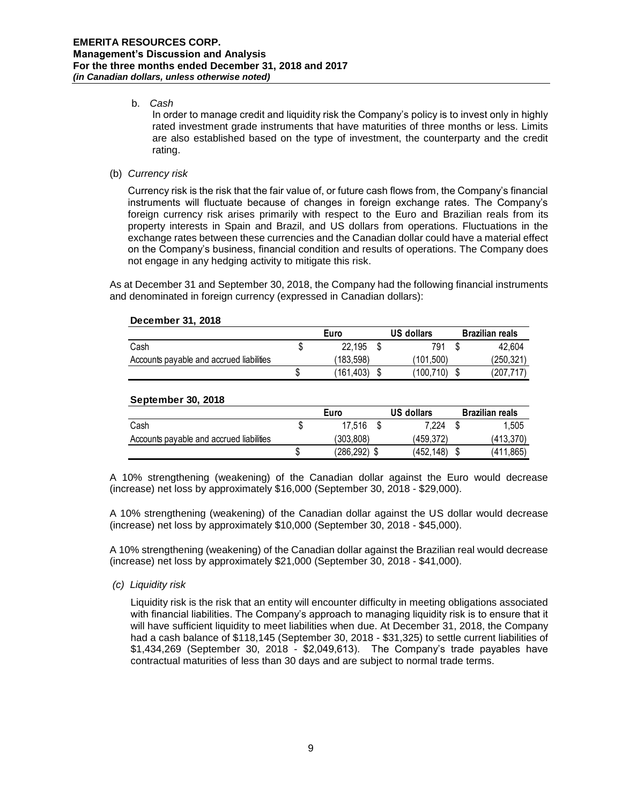# b. *Cash*

In order to manage credit and liquidity risk the Company's policy is to invest only in highly rated investment grade instruments that have maturities of three months or less. Limits are also established based on the type of investment, the counterparty and the credit rating.

# (b) *Currency risk*

Currency risk is the risk that the fair value of, or future cash flows from, the Company's financial instruments will fluctuate because of changes in foreign exchange rates. The Company's foreign currency risk arises primarily with respect to the Euro and Brazilian reals from its property interests in Spain and Brazil, and US dollars from operations. Fluctuations in the exchange rates between these currencies and the Canadian dollar could have a material effect on the Company's business, financial condition and results of operations. The Company does not engage in any hedging activity to mitigate this risk.

As at December 31 and September 30, 2018, the Company had the following financial instruments and denominated in foreign currency (expressed in Canadian dollars):

## **December 31, 2018**

|                                          | Euro      | US dollars | <b>Brazilian reals</b> |
|------------------------------------------|-----------|------------|------------------------|
| Cash                                     | 22.195    | 791        | 42.604                 |
| Accounts payable and accrued liabilities | 183.598)  | (101.500)  | (250,321)              |
|                                          | (161.403) | (100,710)  | (207,717)              |

# **September 30, 2018 Euro US dollars Brazilian reals** Cash \$ 17,516 \$ 7,224 \$ 1,505 Accounts payable and accrued liabilities (303,808) (459,372) (413,370) \$ (286,292) \$ (452,148) \$ (411,865)

A 10% strengthening (weakening) of the Canadian dollar against the Euro would decrease (increase) net loss by approximately \$16,000 (September 30, 2018 - \$29,000).

A 10% strengthening (weakening) of the Canadian dollar against the US dollar would decrease (increase) net loss by approximately \$10,000 (September 30, 2018 - \$45,000).

A 10% strengthening (weakening) of the Canadian dollar against the Brazilian real would decrease (increase) net loss by approximately \$21,000 (September 30, 2018 - \$41,000).

## *(c) Liquidity risk*

Liquidity risk is the risk that an entity will encounter difficulty in meeting obligations associated with financial liabilities. The Company's approach to managing liquidity risk is to ensure that it will have sufficient liquidity to meet liabilities when due. At December 31, 2018, the Company had a cash balance of \$118,145 (September 30, 2018 - \$31,325) to settle current liabilities of \$1,434,269 (September 30, 2018 - \$2,049,613). The Company's trade payables have contractual maturities of less than 30 days and are subject to normal trade terms.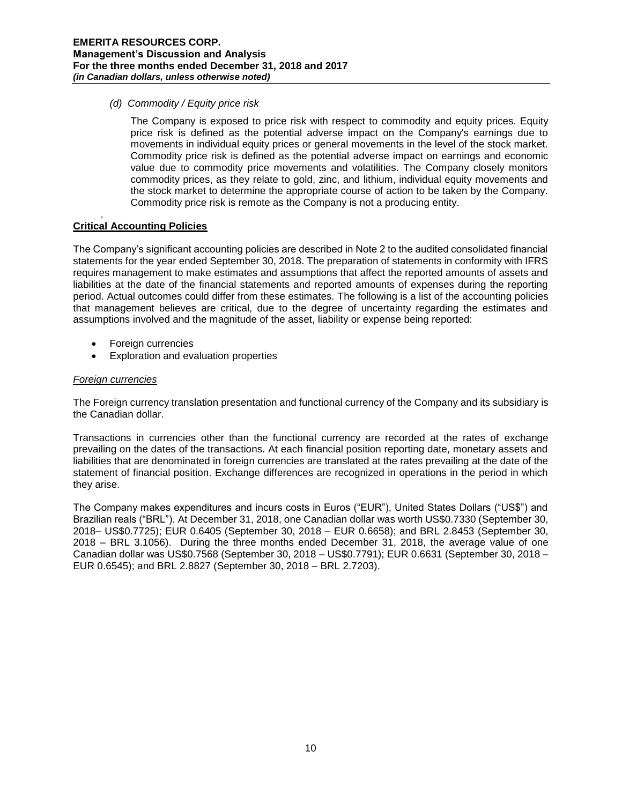*(d) Commodity / Equity price risk*

The Company is exposed to price risk with respect to commodity and equity prices. Equity price risk is defined as the potential adverse impact on the Company's earnings due to movements in individual equity prices or general movements in the level of the stock market. Commodity price risk is defined as the potential adverse impact on earnings and economic value due to commodity price movements and volatilities. The Company closely monitors commodity prices, as they relate to gold, zinc, and lithium, individual equity movements and the stock market to determine the appropriate course of action to be taken by the Company. Commodity price risk is remote as the Company is not a producing entity.

#### . **Critical Accounting Policies**

The Company's significant accounting policies are described in Note 2 to the audited consolidated financial statements for the year ended September 30, 2018. The preparation of statements in conformity with IFRS requires management to make estimates and assumptions that affect the reported amounts of assets and liabilities at the date of the financial statements and reported amounts of expenses during the reporting period. Actual outcomes could differ from these estimates. The following is a list of the accounting policies that management believes are critical, due to the degree of uncertainty regarding the estimates and assumptions involved and the magnitude of the asset, liability or expense being reported:

- Foreign currencies
- Exploration and evaluation properties

# *Foreign currencies*

The Foreign currency translation presentation and functional currency of the Company and its subsidiary is the Canadian dollar.

Transactions in currencies other than the functional currency are recorded at the rates of exchange prevailing on the dates of the transactions. At each financial position reporting date, monetary assets and liabilities that are denominated in foreign currencies are translated at the rates prevailing at the date of the statement of financial position. Exchange differences are recognized in operations in the period in which they arise.

The Company makes expenditures and incurs costs in Euros ("EUR"), United States Dollars ("US\$") and Brazilian reals ("BRL"). At December 31, 2018, one Canadian dollar was worth US\$0.7330 (September 30, 2018– US\$0.7725); EUR 0.6405 (September 30, 2018 – EUR 0.6658); and BRL 2.8453 (September 30, 2018 – BRL 3.1056). During the three months ended December 31, 2018, the average value of one Canadian dollar was US\$0.7568 (September 30, 2018 – US\$0.7791); EUR 0.6631 (September 30, 2018 – EUR 0.6545); and BRL 2.8827 (September 30, 2018 – BRL 2.7203).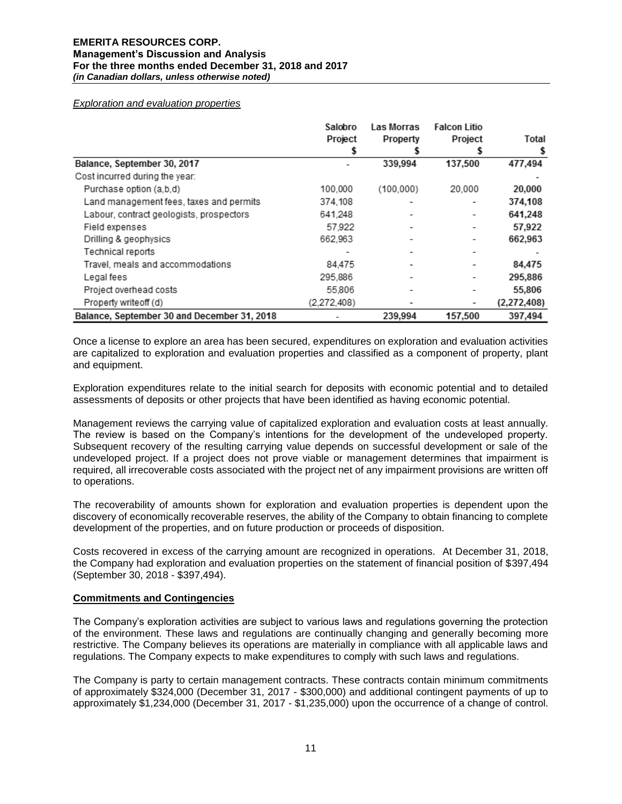#### *Exploration and evaluation properties*

|                                             | Salobro<br>Project | <b>Las Morras</b><br>Property | <b>Falcon Litio</b><br>Project | Total       |
|---------------------------------------------|--------------------|-------------------------------|--------------------------------|-------------|
|                                             | 5                  |                               |                                |             |
| Balance, September 30, 2017                 |                    | 339,994                       | 137,500                        | 477,494     |
| Cost incurred during the year:              |                    |                               |                                |             |
| Purchase option (a,b,d)                     | 100.000            | (100,000)                     | 20,000                         | 20,000      |
| Land management fees, taxes and permits     | 374,108            | -                             |                                | 374,108     |
| Labour, contract geologists, prospectors    | 641.248            |                               |                                | 641,248     |
| Field expenses                              | 57,922             |                               |                                | 57,922      |
| Drilling & geophysics                       | 662.963            | ۰                             |                                | 662,963     |
| Technical reports                           |                    |                               |                                |             |
| Travel, meals and accommodations            | 84,475             |                               |                                | 84,475      |
| Legal fees                                  | 295.886            | ۰                             |                                | 295,886     |
| Project overhead costs                      | 55,806             |                               |                                | 55,806      |
| Property writeoff (d)                       | (2,272,408)        |                               |                                | (2,272,408) |
| Balance, September 30 and December 31, 2018 |                    | 239.994                       | 157,500                        | 397,494     |

Once a license to explore an area has been secured, expenditures on exploration and evaluation activities are capitalized to exploration and evaluation properties and classified as a component of property, plant and equipment.

Exploration expenditures relate to the initial search for deposits with economic potential and to detailed assessments of deposits or other projects that have been identified as having economic potential.

Management reviews the carrying value of capitalized exploration and evaluation costs at least annually. The review is based on the Company's intentions for the development of the undeveloped property. Subsequent recovery of the resulting carrying value depends on successful development or sale of the undeveloped project. If a project does not prove viable or management determines that impairment is required, all irrecoverable costs associated with the project net of any impairment provisions are written off to operations.

The recoverability of amounts shown for exploration and evaluation properties is dependent upon the discovery of economically recoverable reserves, the ability of the Company to obtain financing to complete development of the properties, and on future production or proceeds of disposition.

Costs recovered in excess of the carrying amount are recognized in operations. At December 31, 2018, the Company had exploration and evaluation properties on the statement of financial position of \$397,494 (September 30, 2018 - \$397,494).

#### **Commitments and Contingencies**

The Company's exploration activities are subject to various laws and regulations governing the protection of the environment. These laws and regulations are continually changing and generally becoming more restrictive. The Company believes its operations are materially in compliance with all applicable laws and regulations. The Company expects to make expenditures to comply with such laws and regulations.

The Company is party to certain management contracts. These contracts contain minimum commitments of approximately \$324,000 (December 31, 2017 - \$300,000) and additional contingent payments of up to approximately \$1,234,000 (December 31, 2017 - \$1,235,000) upon the occurrence of a change of control.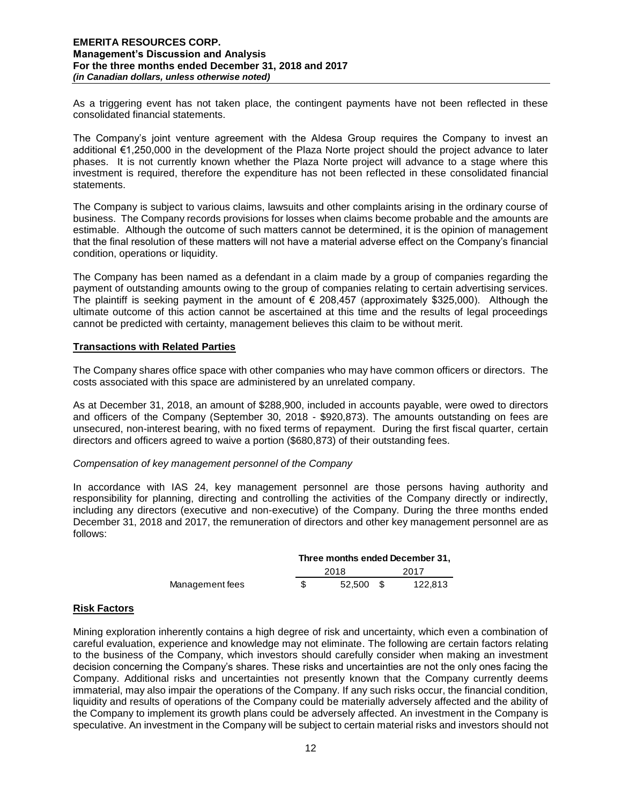As a triggering event has not taken place, the contingent payments have not been reflected in these consolidated financial statements.

The Company's joint venture agreement with the Aldesa Group requires the Company to invest an additional €1,250,000 in the development of the Plaza Norte project should the project advance to later phases. It is not currently known whether the Plaza Norte project will advance to a stage where this investment is required, therefore the expenditure has not been reflected in these consolidated financial statements.

The Company is subject to various claims, lawsuits and other complaints arising in the ordinary course of business. The Company records provisions for losses when claims become probable and the amounts are estimable. Although the outcome of such matters cannot be determined, it is the opinion of management that the final resolution of these matters will not have a material adverse effect on the Company's financial condition, operations or liquidity.

The Company has been named as a defendant in a claim made by a group of companies regarding the payment of outstanding amounts owing to the group of companies relating to certain advertising services. The plaintiff is seeking payment in the amount of  $\epsilon$  208,457 (approximately \$325,000). Although the ultimate outcome of this action cannot be ascertained at this time and the results of legal proceedings cannot be predicted with certainty, management believes this claim to be without merit.

## **Transactions with Related Parties**

The Company shares office space with other companies who may have common officers or directors. The costs associated with this space are administered by an unrelated company.

As at December 31, 2018, an amount of \$288,900, included in accounts payable, were owed to directors and officers of the Company (September 30, 2018 - \$920,873). The amounts outstanding on fees are unsecured, non-interest bearing, with no fixed terms of repayment. During the first fiscal quarter, certain directors and officers agreed to waive a portion (\$680,873) of their outstanding fees.

## *Compensation of key management personnel of the Company*

In accordance with IAS 24, key management personnel are those persons having authority and responsibility for planning, directing and controlling the activities of the Company directly or indirectly, including any directors (executive and non-executive) of the Company. During the three months ended December 31, 2018 and 2017, the remuneration of directors and other key management personnel are as follows:

|                 | Three months ended December 31. |        |      |         |  |  |
|-----------------|---------------------------------|--------|------|---------|--|--|
|                 |                                 | 2018   | 2017 |         |  |  |
| Management fees |                                 | 52.500 |      | 122.813 |  |  |

# **Risk Factors**

Mining exploration inherently contains a high degree of risk and uncertainty, which even a combination of careful evaluation, experience and knowledge may not eliminate. The following are certain factors relating to the business of the Company, which investors should carefully consider when making an investment decision concerning the Company's shares. These risks and uncertainties are not the only ones facing the Company. Additional risks and uncertainties not presently known that the Company currently deems immaterial, may also impair the operations of the Company. If any such risks occur, the financial condition, liquidity and results of operations of the Company could be materially adversely affected and the ability of the Company to implement its growth plans could be adversely affected. An investment in the Company is speculative. An investment in the Company will be subject to certain material risks and investors should not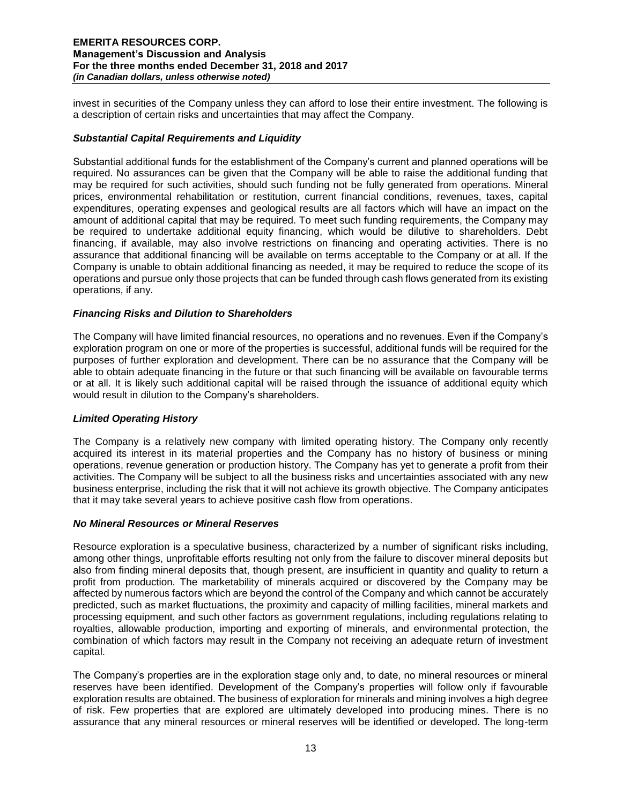invest in securities of the Company unless they can afford to lose their entire investment. The following is a description of certain risks and uncertainties that may affect the Company.

# *Substantial Capital Requirements and Liquidity*

Substantial additional funds for the establishment of the Company's current and planned operations will be required. No assurances can be given that the Company will be able to raise the additional funding that may be required for such activities, should such funding not be fully generated from operations. Mineral prices, environmental rehabilitation or restitution, current financial conditions, revenues, taxes, capital expenditures, operating expenses and geological results are all factors which will have an impact on the amount of additional capital that may be required. To meet such funding requirements, the Company may be required to undertake additional equity financing, which would be dilutive to shareholders. Debt financing, if available, may also involve restrictions on financing and operating activities. There is no assurance that additional financing will be available on terms acceptable to the Company or at all. If the Company is unable to obtain additional financing as needed, it may be required to reduce the scope of its operations and pursue only those projects that can be funded through cash flows generated from its existing operations, if any.

# *Financing Risks and Dilution to Shareholders*

The Company will have limited financial resources, no operations and no revenues. Even if the Company's exploration program on one or more of the properties is successful, additional funds will be required for the purposes of further exploration and development. There can be no assurance that the Company will be able to obtain adequate financing in the future or that such financing will be available on favourable terms or at all. It is likely such additional capital will be raised through the issuance of additional equity which would result in dilution to the Company's shareholders.

## *Limited Operating History*

The Company is a relatively new company with limited operating history. The Company only recently acquired its interest in its material properties and the Company has no history of business or mining operations, revenue generation or production history. The Company has yet to generate a profit from their activities. The Company will be subject to all the business risks and uncertainties associated with any new business enterprise, including the risk that it will not achieve its growth objective. The Company anticipates that it may take several years to achieve positive cash flow from operations.

## *No Mineral Resources or Mineral Reserves*

Resource exploration is a speculative business, characterized by a number of significant risks including, among other things, unprofitable efforts resulting not only from the failure to discover mineral deposits but also from finding mineral deposits that, though present, are insufficient in quantity and quality to return a profit from production. The marketability of minerals acquired or discovered by the Company may be affected by numerous factors which are beyond the control of the Company and which cannot be accurately predicted, such as market fluctuations, the proximity and capacity of milling facilities, mineral markets and processing equipment, and such other factors as government regulations, including regulations relating to royalties, allowable production, importing and exporting of minerals, and environmental protection, the combination of which factors may result in the Company not receiving an adequate return of investment capital.

The Company's properties are in the exploration stage only and, to date, no mineral resources or mineral reserves have been identified. Development of the Company's properties will follow only if favourable exploration results are obtained. The business of exploration for minerals and mining involves a high degree of risk. Few properties that are explored are ultimately developed into producing mines. There is no assurance that any mineral resources or mineral reserves will be identified or developed. The long-term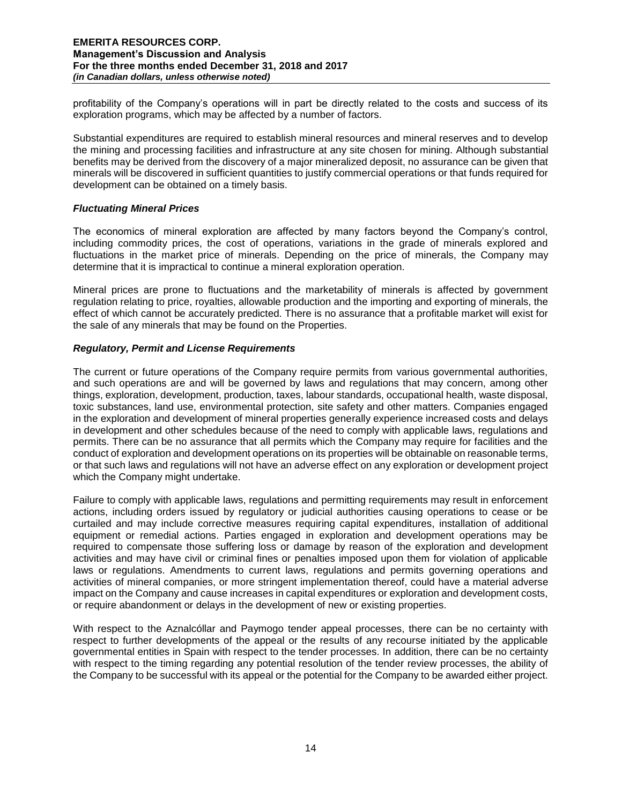profitability of the Company's operations will in part be directly related to the costs and success of its exploration programs, which may be affected by a number of factors.

Substantial expenditures are required to establish mineral resources and mineral reserves and to develop the mining and processing facilities and infrastructure at any site chosen for mining. Although substantial benefits may be derived from the discovery of a major mineralized deposit, no assurance can be given that minerals will be discovered in sufficient quantities to justify commercial operations or that funds required for development can be obtained on a timely basis.

## *Fluctuating Mineral Prices*

The economics of mineral exploration are affected by many factors beyond the Company's control, including commodity prices, the cost of operations, variations in the grade of minerals explored and fluctuations in the market price of minerals. Depending on the price of minerals, the Company may determine that it is impractical to continue a mineral exploration operation.

Mineral prices are prone to fluctuations and the marketability of minerals is affected by government regulation relating to price, royalties, allowable production and the importing and exporting of minerals, the effect of which cannot be accurately predicted. There is no assurance that a profitable market will exist for the sale of any minerals that may be found on the Properties.

#### *Regulatory, Permit and License Requirements*

The current or future operations of the Company require permits from various governmental authorities, and such operations are and will be governed by laws and regulations that may concern, among other things, exploration, development, production, taxes, labour standards, occupational health, waste disposal, toxic substances, land use, environmental protection, site safety and other matters. Companies engaged in the exploration and development of mineral properties generally experience increased costs and delays in development and other schedules because of the need to comply with applicable laws, regulations and permits. There can be no assurance that all permits which the Company may require for facilities and the conduct of exploration and development operations on its properties will be obtainable on reasonable terms, or that such laws and regulations will not have an adverse effect on any exploration or development project which the Company might undertake.

Failure to comply with applicable laws, regulations and permitting requirements may result in enforcement actions, including orders issued by regulatory or judicial authorities causing operations to cease or be curtailed and may include corrective measures requiring capital expenditures, installation of additional equipment or remedial actions. Parties engaged in exploration and development operations may be required to compensate those suffering loss or damage by reason of the exploration and development activities and may have civil or criminal fines or penalties imposed upon them for violation of applicable laws or regulations. Amendments to current laws, regulations and permits governing operations and activities of mineral companies, or more stringent implementation thereof, could have a material adverse impact on the Company and cause increases in capital expenditures or exploration and development costs, or require abandonment or delays in the development of new or existing properties.

With respect to the Aznalcóllar and Paymogo tender appeal processes, there can be no certainty with respect to further developments of the appeal or the results of any recourse initiated by the applicable governmental entities in Spain with respect to the tender processes. In addition, there can be no certainty with respect to the timing regarding any potential resolution of the tender review processes, the ability of the Company to be successful with its appeal or the potential for the Company to be awarded either project.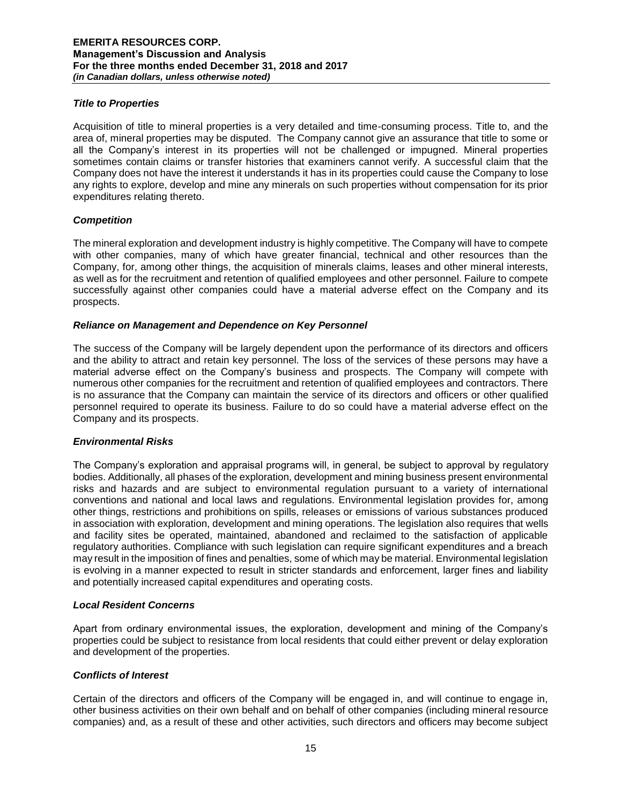## *Title to Properties*

Acquisition of title to mineral properties is a very detailed and time-consuming process. Title to, and the area of, mineral properties may be disputed. The Company cannot give an assurance that title to some or all the Company's interest in its properties will not be challenged or impugned. Mineral properties sometimes contain claims or transfer histories that examiners cannot verify. A successful claim that the Company does not have the interest it understands it has in its properties could cause the Company to lose any rights to explore, develop and mine any minerals on such properties without compensation for its prior expenditures relating thereto.

# *Competition*

The mineral exploration and development industry is highly competitive. The Company will have to compete with other companies, many of which have greater financial, technical and other resources than the Company, for, among other things, the acquisition of minerals claims, leases and other mineral interests, as well as for the recruitment and retention of qualified employees and other personnel. Failure to compete successfully against other companies could have a material adverse effect on the Company and its prospects.

# *Reliance on Management and Dependence on Key Personnel*

The success of the Company will be largely dependent upon the performance of its directors and officers and the ability to attract and retain key personnel. The loss of the services of these persons may have a material adverse effect on the Company's business and prospects. The Company will compete with numerous other companies for the recruitment and retention of qualified employees and contractors. There is no assurance that the Company can maintain the service of its directors and officers or other qualified personnel required to operate its business. Failure to do so could have a material adverse effect on the Company and its prospects.

## *Environmental Risks*

The Company's exploration and appraisal programs will, in general, be subject to approval by regulatory bodies. Additionally, all phases of the exploration, development and mining business present environmental risks and hazards and are subject to environmental regulation pursuant to a variety of international conventions and national and local laws and regulations. Environmental legislation provides for, among other things, restrictions and prohibitions on spills, releases or emissions of various substances produced in association with exploration, development and mining operations. The legislation also requires that wells and facility sites be operated, maintained, abandoned and reclaimed to the satisfaction of applicable regulatory authorities. Compliance with such legislation can require significant expenditures and a breach may result in the imposition of fines and penalties, some of which may be material. Environmental legislation is evolving in a manner expected to result in stricter standards and enforcement, larger fines and liability and potentially increased capital expenditures and operating costs.

## *Local Resident Concerns*

Apart from ordinary environmental issues, the exploration, development and mining of the Company's properties could be subject to resistance from local residents that could either prevent or delay exploration and development of the properties.

## *Conflicts of Interest*

Certain of the directors and officers of the Company will be engaged in, and will continue to engage in, other business activities on their own behalf and on behalf of other companies (including mineral resource companies) and, as a result of these and other activities, such directors and officers may become subject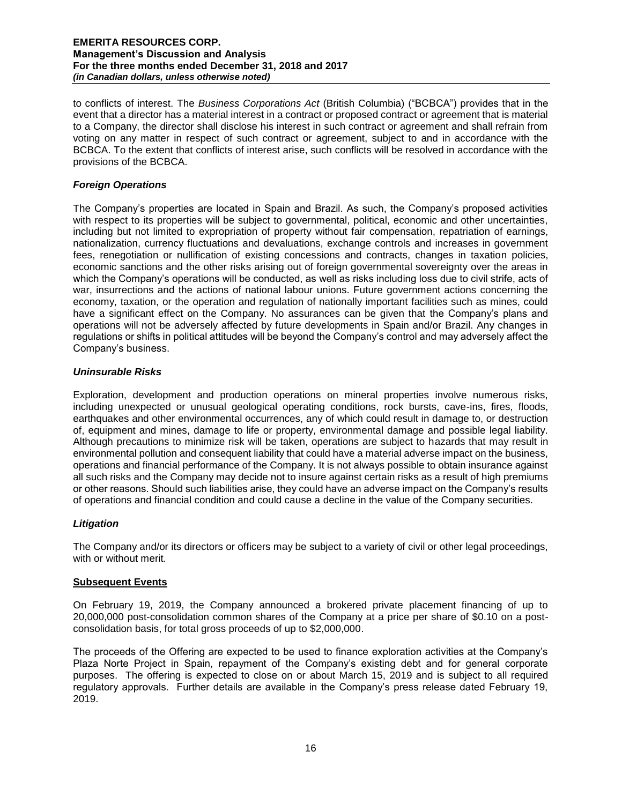to conflicts of interest. The *Business Corporations Act* (British Columbia) ("BCBCA") provides that in the event that a director has a material interest in a contract or proposed contract or agreement that is material to a Company, the director shall disclose his interest in such contract or agreement and shall refrain from voting on any matter in respect of such contract or agreement, subject to and in accordance with the BCBCA. To the extent that conflicts of interest arise, such conflicts will be resolved in accordance with the provisions of the BCBCA.

# *Foreign Operations*

The Company's properties are located in Spain and Brazil. As such, the Company's proposed activities with respect to its properties will be subject to governmental, political, economic and other uncertainties, including but not limited to expropriation of property without fair compensation, repatriation of earnings, nationalization, currency fluctuations and devaluations, exchange controls and increases in government fees, renegotiation or nullification of existing concessions and contracts, changes in taxation policies, economic sanctions and the other risks arising out of foreign governmental sovereignty over the areas in which the Company's operations will be conducted, as well as risks including loss due to civil strife, acts of war, insurrections and the actions of national labour unions. Future government actions concerning the economy, taxation, or the operation and regulation of nationally important facilities such as mines, could have a significant effect on the Company. No assurances can be given that the Company's plans and operations will not be adversely affected by future developments in Spain and/or Brazil. Any changes in regulations or shifts in political attitudes will be beyond the Company's control and may adversely affect the Company's business.

# *Uninsurable Risks*

Exploration, development and production operations on mineral properties involve numerous risks, including unexpected or unusual geological operating conditions, rock bursts, cave-ins, fires, floods, earthquakes and other environmental occurrences, any of which could result in damage to, or destruction of, equipment and mines, damage to life or property, environmental damage and possible legal liability. Although precautions to minimize risk will be taken, operations are subject to hazards that may result in environmental pollution and consequent liability that could have a material adverse impact on the business, operations and financial performance of the Company. It is not always possible to obtain insurance against all such risks and the Company may decide not to insure against certain risks as a result of high premiums or other reasons. Should such liabilities arise, they could have an adverse impact on the Company's results of operations and financial condition and could cause a decline in the value of the Company securities.

## *Litigation*

The Company and/or its directors or officers may be subject to a variety of civil or other legal proceedings, with or without merit.

## **Subsequent Events**

On February 19, 2019, the Company announced a brokered private placement financing of up to 20,000,000 post-consolidation common shares of the Company at a price per share of \$0.10 on a postconsolidation basis, for total gross proceeds of up to \$2,000,000.

The proceeds of the Offering are expected to be used to finance exploration activities at the Company's Plaza Norte Project in Spain, repayment of the Company's existing debt and for general corporate purposes. The offering is expected to close on or about March 15, 2019 and is subject to all required regulatory approvals. Further details are available in the Company's press release dated February 19, 2019.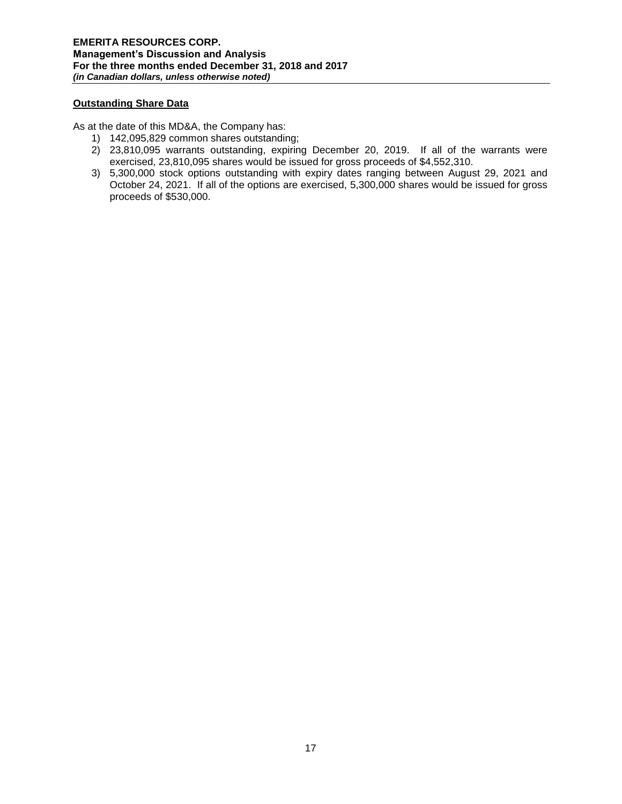# **Outstanding Share Data**

As at the date of this MD&A, the Company has:

- 1) 142,095,829 common shares outstanding;
- 2) 23,810,095 warrants outstanding, expiring December 20, 2019. If all of the warrants were exercised, 23,810,095 shares would be issued for gross proceeds of \$4,552,310.
- 3) 5,300,000 stock options outstanding with expiry dates ranging between August 29, 2021 and October 24, 2021. If all of the options are exercised, 5,300,000 shares would be issued for gross proceeds of \$530,000.